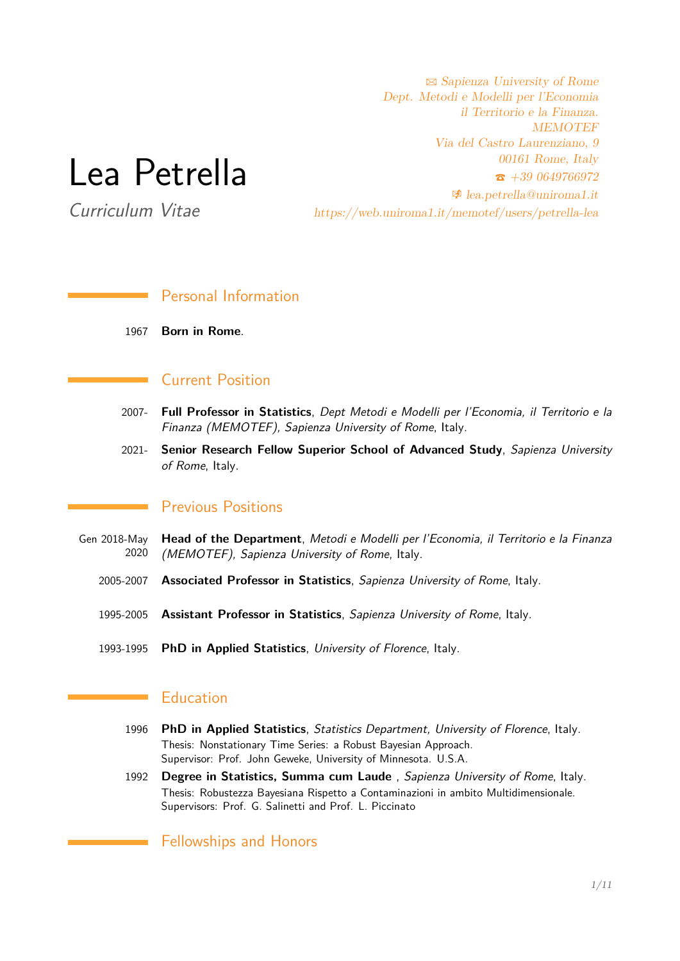# Lea Petrella

Curriculum Vitae

 $\boxtimes$  Sapienza University of Rome Dept. Metodi e Modelli per l'Economia il Territorio e la Finanza. **MEMOTEF** Via del Castro Laurenziano, 9 00161 Rome, Italy  $\hat{\mathbf{z}}$  +39 0649766972  $\triangleq$  [lea.petrella@uniroma1.it](mailto:lea.petrella@uniroma1.it) https://web.uniroma1.it/memotef/users/petrella-lea

# Personal Information

1967 **Born in Rome**.

## Current Position

- 2007- **Full Professor in Statistics**, Dept Metodi e Modelli per l'Economia, il Territorio e la Finanza (MEMOTEF), Sapienza University of Rome, Italy.
- 2021- **Senior Research Fellow Superior School of Advanced Study**, Sapienza University of Rome, Italy.

## Previous Positions

- Gen 2018-May 2020 **Head of the Department**, Metodi e Modelli per l'Economia, il Territorio e la Finanza (MEMOTEF), Sapienza University of Rome, Italy.
	- 2005-2007 **Associated Professor in Statistics**, Sapienza University of Rome, Italy.
	- 1995-2005 **Assistant Professor in Statistics**, Sapienza University of Rome, Italy.
	- 1993-1995 **PhD in Applied Statistics**, University of Florence, Italy.

## Education

- 1996 **PhD in Applied Statistics**, Statistics Department, University of Florence, Italy. Thesis: Nonstationary Time Series: a Robust Bayesian Approach. Supervisor: Prof. John Geweke, University of Minnesota. U.S.A.
- 1992 **Degree in Statistics, Summa cum Laude** , Sapienza University of Rome, Italy. Thesis: Robustezza Bayesiana Rispetto a Contaminazioni in ambito Multidimensionale. Supervisors: Prof. G. Salinetti and Prof. L. Piccinato

#### Fellowships and Honors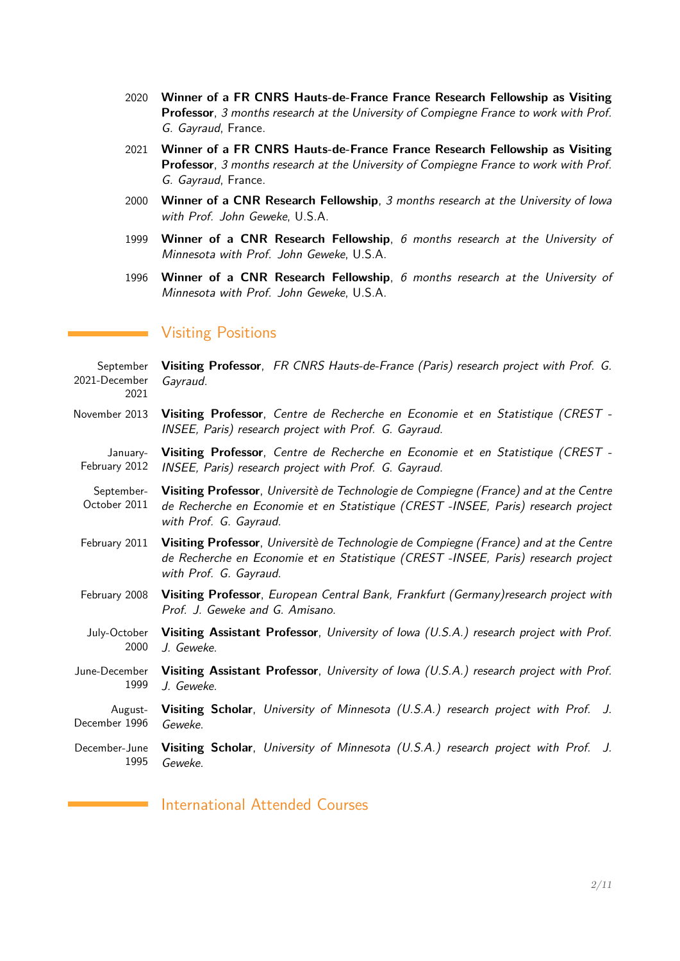- 2020 **Winner of a FR CNRS Hauts-de-France France Research Fellowship as Visiting Professor**, 3 months research at the University of Compiegne France to work with Prof. G. Gayraud, France.
- 2021 **Winner of a FR CNRS Hauts-de-France France Research Fellowship as Visiting Professor**, 3 months research at the University of Compiegne France to work with Prof. G. Gayraud, France.
- 2000 **Winner of a CNR Research Fellowship**, 3 months research at the University of Iowa with Prof. John Geweke, U.S.A.
- 1999 **Winner of a CNR Research Fellowship**, 6 months research at the University of Minnesota with Prof. John Geweke, U.S.A.
- 1996 **Winner of a CNR Research Fellowship**, 6 months research at the University of Minnesota with Prof. John Geweke, U.S.A.

### Visiting Positions

September 2021-December 2021 **Visiting Professor**, FR CNRS Hauts-de-France (Paris) research project with Prof. G. Gayraud. November 2013 **Visiting Professor**, Centre de Recherche en Economie et en Statistique (CREST - INSEE, Paris) research project with Prof. G. Gayraud. January-February 2012 **Visiting Professor**, Centre de Recherche en Economie et en Statistique (CREST - INSEE, Paris) research project with Prof. G. Gayraud. September-October 2011 **Visiting Professor**, Universitè de Technologie de Compiegne (France) and at the Centre de Recherche en Economie et en Statistique (CREST -INSEE, Paris) research project with Prof. G. Gayraud. February 2011 **Visiting Professor**, Universitè de Technologie de Compiegne (France) and at the Centre de Recherche en Economie et en Statistique (CREST -INSEE, Paris) research project with Prof. G. Gayraud. February 2008 **Visiting Professor**, European Central Bank, Frankfurt (Germany)research project with Prof. J. Geweke and G. Amisano. July-October 2000 **Visiting Assistant Professor**, University of Iowa (U.S.A.) research project with Prof. J. Geweke. June-December 1999 **Visiting Assistant Professor**, University of Iowa (U.S.A.) research project with Prof. J. Geweke. August-December 1996 **Visiting Scholar**, University of Minnesota (U.S.A.) research project with Prof. J. Geweke. December-June 1995 **Visiting Scholar**, University of Minnesota (U.S.A.) research project with Prof. J. Geweke.

International Attended Courses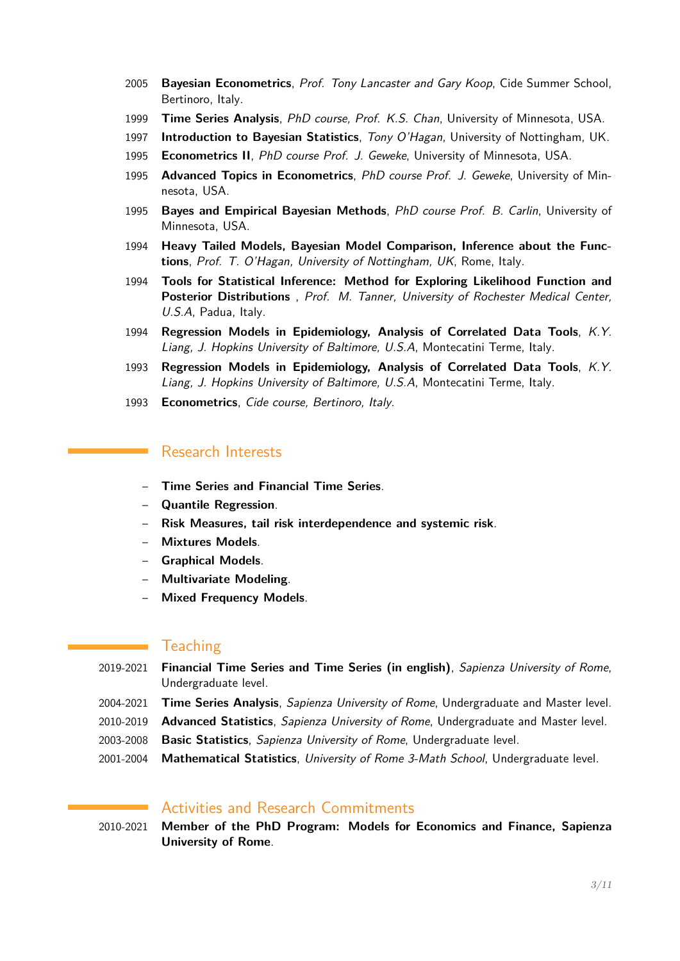- 2005 **Bayesian Econometrics**, Prof. Tony Lancaster and Gary Koop, Cide Summer School, Bertinoro, Italy.
- 1999 **Time Series Analysis**, PhD course, Prof. K.S. Chan, University of Minnesota, USA.
- 1997 **Introduction to Bayesian Statistics**, Tony O'Hagan, University of Nottingham, UK.
- 1995 **Econometrics II**, PhD course Prof. J. Geweke, University of Minnesota, USA.
- 1995 **Advanced Topics in Econometrics**, PhD course Prof. J. Geweke, University of Minnesota, USA.
- 1995 **Bayes and Empirical Bayesian Methods**, PhD course Prof. B. Carlin, University of Minnesota, USA.
- 1994 **Heavy Tailed Models, Bayesian Model Comparison, Inference about the Functions**, Prof. T. O'Hagan, University of Nottingham, UK, Rome, Italy.
- 1994 **Tools for Statistical Inference: Method for Exploring Likelihood Function and Posterior Distributions** , Prof. M. Tanner, University of Rochester Medical Center, U.S.A, Padua, Italy.
- 1994 **Regression Models in Epidemiology, Analysis of Correlated Data Tools**, K.Y. Liang, J. Hopkins University of Baltimore, U.S.A, Montecatini Terme, Italy.
- 1993 **Regression Models in Epidemiology, Analysis of Correlated Data Tools**, K.Y. Liang, J. Hopkins University of Baltimore, U.S.A, Montecatini Terme, Italy.
- 1993 **Econometrics**, Cide course, Bertinoro, Italy.

## Research Interests

- **Time Series and Financial Time Series**.
- **Quantile Regression**.
- **Risk Measures, tail risk interdependence and systemic risk**.
- **Mixtures Models**.
- **Graphical Models**.
- **Multivariate Modeling**.
- **Mixed Frequency Models**.

#### **Teaching**

- 2019-2021 **Financial Time Series and Time Series (in english)**, Sapienza University of Rome, Undergraduate level.
- 2004-2021 **Time Series Analysis**, Sapienza University of Rome, Undergraduate and Master level.
- 2010-2019 **Advanced Statistics**, Sapienza University of Rome, Undergraduate and Master level.
- 2003-2008 **Basic Statistics**, Sapienza University of Rome, Undergraduate level.
- 2001-2004 **Mathematical Statistics**, University of Rome 3-Math School, Undergraduate level.

# Activities and Research Commitments

2010-2021 **Member of the PhD Program: Models for Economics and Finance, Sapienza University of Rome**.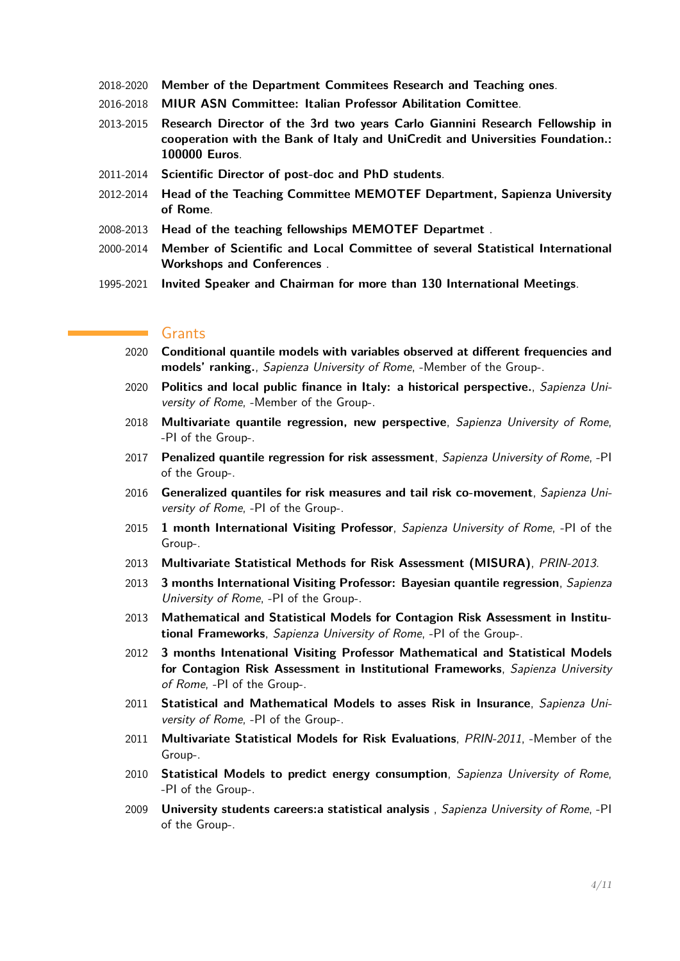- 2018-2020 **Member of the Department Commitees Research and Teaching ones**.
- 2016-2018 **MIUR ASN Committee: Italian Professor Abilitation Comittee**.
- 2013-2015 **Research Director of the 3rd two years Carlo Giannini Research Fellowship in cooperation with the Bank of Italy and UniCredit and Universities Foundation.: 100000 Euros**.
- 2011-2014 **Scientific Director of post-doc and PhD students**.
- 2012-2014 **Head of the Teaching Committee MEMOTEF Department, Sapienza University of Rome**.
- 2008-2013 **Head of the teaching fellowships MEMOTEF Departmet** .
- 2000-2014 **Member of Scientific and Local Committee of several Statistical International Workshops and Conferences** .
- 1995-2021 **Invited Speaker and Chairman for more than 130 International Meetings**.

#### Grants

- 2020 **Conditional quantile models with variables observed at different frequencies and models' ranking.**, Sapienza University of Rome, -Member of the Group-.
- 2020 **Politics and local public finance in Italy: a historical perspective.**, Sapienza University of Rome, -Member of the Group-.
- 2018 **Multivariate quantile regression, new perspective**, Sapienza University of Rome, -PI of the Group-.
- 2017 **Penalized quantile regression for risk assessment**, Sapienza University of Rome, -PI of the Group-.
- 2016 **Generalized quantiles for risk measures and tail risk co-movement**, Sapienza University of Rome, -PI of the Group-.
- 2015 **1 month International Visiting Professor**, Sapienza University of Rome, -PI of the Group-.
- 2013 **Multivariate Statistical Methods for Risk Assessment (MISURA)**, PRIN-2013.
- 2013 **3 months International Visiting Professor: Bayesian quantile regression**, Sapienza University of Rome, -PI of the Group-.
- 2013 **Mathematical and Statistical Models for Contagion Risk Assessment in Institutional Frameworks**, Sapienza University of Rome, -PI of the Group-.
- 2012 **3 months Intenational Visiting Professor Mathematical and Statistical Models for Contagion Risk Assessment in Institutional Frameworks**, Sapienza University of Rome, -PI of the Group-.
- 2011 **Statistical and Mathematical Models to asses Risk in Insurance**, Sapienza University of Rome, -PI of the Group-.
- 2011 **Multivariate Statistical Models for Risk Evaluations**, PRIN-2011, -Member of the Group-.
- 2010 **Statistical Models to predict energy consumption**, Sapienza University of Rome, -PI of the Group-.
- 2009 **University students careers:a statistical analysis** , Sapienza University of Rome, -PI of the Group-.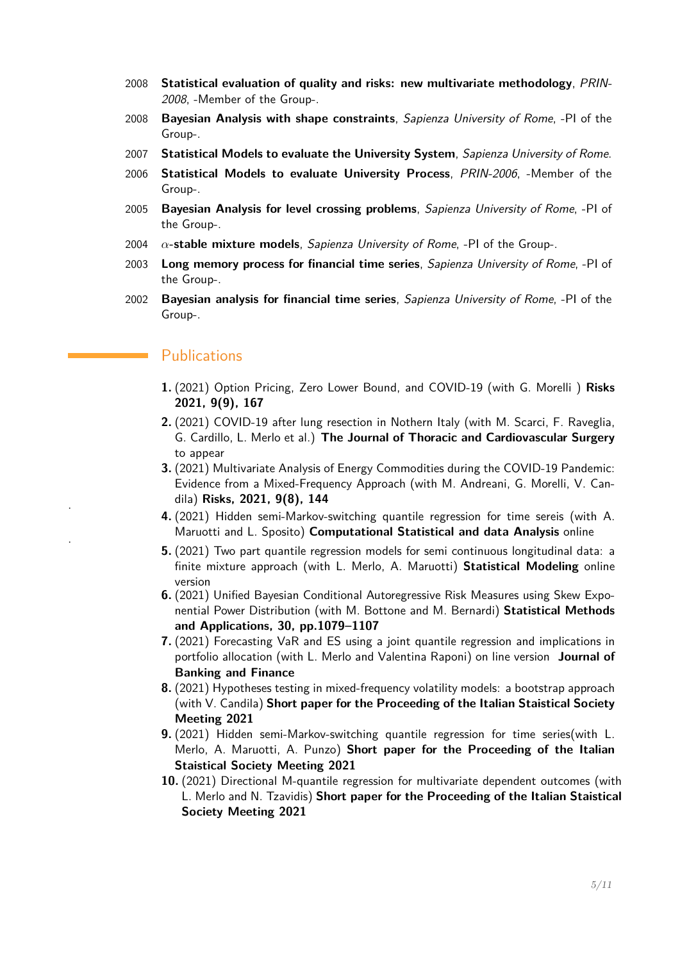- 2008 **Statistical evaluation of quality and risks: new multivariate methodology**, PRIN-2008, -Member of the Group-.
- 2008 **Bayesian Analysis with shape constraints**, Sapienza University of Rome, -PI of the Group-.
- 2007 **Statistical Models to evaluate the University System**, Sapienza University of Rome.
- 2006 **Statistical Models to evaluate University Process**, PRIN-2006, -Member of the Group-.
- 2005 **Bayesian Analysis for level crossing problems**, Sapienza University of Rome, -PI of the Group-.
- 2004 *α***-stable mixture models**, Sapienza University of Rome, -PI of the Group-.
- 2003 **Long memory process for financial time series**, Sapienza University of Rome, -PI of the Group-.
- 2002 **Bayesian analysis for financial time series**, Sapienza University of Rome, -PI of the Group-.

## **Publications**

.

.

- **1.** (2021) Option Pricing, Zero Lower Bound, and COVID-19 (with G. Morelli ) **Risks 2021, 9(9), 167**
- **2.** (2021) COVID-19 after lung resection in Nothern Italy (with M. Scarci, F. Raveglia, G. Cardillo, L. Merlo et al.) **The Journal of Thoracic and Cardiovascular Surgery** to appear
- **3.** (2021) Multivariate Analysis of Energy Commodities during the COVID-19 Pandemic: Evidence from a Mixed-Frequency Approach (with M. Andreani, G. Morelli, V. Candila) **Risks, 2021, 9(8), 144**
- **4.** (2021) Hidden semi-Markov-switching quantile regression for time sereis (with A. Maruotti and L. Sposito) **Computational Statistical and data Analysis** online
- **5.** (2021) Two part quantile regression models for semi continuous longitudinal data: a finite mixture approach (with L. Merlo, A. Maruotti) **Statistical Modeling** online version
- **6.** (2021) Unified Bayesian Conditional Autoregressive Risk Measures using Skew Exponential Power Distribution (with M. Bottone and M. Bernardi) **Statistical Methods and Applications, 30, pp.1079–1107**
- **7.** (2021) Forecasting VaR and ES using a joint quantile regression and implications in portfolio allocation (with L. Merlo and Valentina Raponi) on line version **Journal of Banking and Finance**
- **8.** (2021) Hypotheses testing in mixed-frequency volatility models: a bootstrap approach (with V. Candila) **Short paper for the Proceeding of the Italian Staistical Society Meeting 2021**
- **9.** (2021) Hidden semi-Markov-switching quantile regression for time series(with L. Merlo, A. Maruotti, A. Punzo) **Short paper for the Proceeding of the Italian Staistical Society Meeting 2021**
- **10.** (2021) Directional M-quantile regression for multivariate dependent outcomes (with L. Merlo and N. Tzavidis) **Short paper for the Proceeding of the Italian Staistical Society Meeting 2021**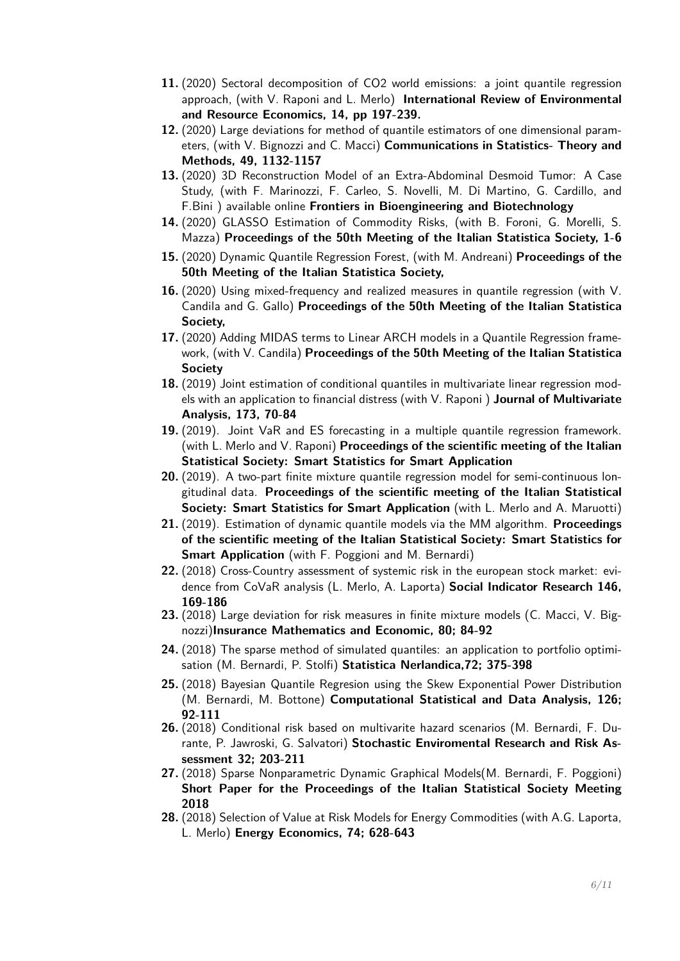- **11.** (2020) Sectoral decomposition of CO2 world emissions: a joint quantile regression approach, (with V. Raponi and L. Merlo) **International Review of Environmental and Resource Economics, 14, pp 197-239.**
- **12.** (2020) Large deviations for method of quantile estimators of one dimensional parameters, (with V. Bignozzi and C. Macci) **Communications in Statistics- Theory and Methods, 49, 1132-1157**
- **13.** (2020) 3D Reconstruction Model of an Extra-Abdominal Desmoid Tumor: A Case Study, (with F. Marinozzi, F. Carleo, S. Novelli, M. Di Martino, G. Cardillo, and F.Bini ) available online **Frontiers in Bioengineering and Biotechnology**
- **14.** (2020) GLASSO Estimation of Commodity Risks, (with B. Foroni, G. Morelli, S. Mazza) **Proceedings of the 50th Meeting of the Italian Statistica Society, 1-6**
- **15.** (2020) Dynamic Quantile Regression Forest, (with M. Andreani) **Proceedings of the 50th Meeting of the Italian Statistica Society,**
- **16.** (2020) Using mixed-frequency and realized measures in quantile regression (with V. Candila and G. Gallo) **Proceedings of the 50th Meeting of the Italian Statistica Society,**
- **17.** (2020) Adding MIDAS terms to Linear ARCH models in a Quantile Regression framework, (with V. Candila) **Proceedings of the 50th Meeting of the Italian Statistica Society**
- **18.** (2019) Joint estimation of conditional quantiles in multivariate linear regression models with an application to financial distress (with V. Raponi ) **Journal of Multivariate Analysis, 173, 70-84**
- **19.** (2019). Joint VaR and ES forecasting in a multiple quantile regression framework. (with L. Merlo and V. Raponi) **Proceedings of the scientific meeting of the Italian Statistical Society: Smart Statistics for Smart Application**
- **20.** (2019). A two-part finite mixture quantile regression model for semi-continuous longitudinal data. **Proceedings of the scientific meeting of the Italian Statistical Society: Smart Statistics for Smart Application** (with L. Merlo and A. Maruotti)
- **21.** (2019). Estimation of dynamic quantile models via the MM algorithm. **Proceedings of the scientific meeting of the Italian Statistical Society: Smart Statistics for Smart Application** (with F. Poggioni and M. Bernardi)
- **22.** (2018) Cross-Country assessment of systemic risk in the european stock market: evidence from CoVaR analysis (L. Merlo, A. Laporta) **Social Indicator Research 146, 169-186**
- **23.** (2018) Large deviation for risk measures in finite mixture models (C. Macci, V. Bignozzi)**Insurance Mathematics and Economic, 80; 84-92**
- **24.** (2018) The sparse method of simulated quantiles: an application to portfolio optimisation (M. Bernardi, P. Stolfi) **Statistica Nerlandica,72; 375-398**
- **25.** (2018) Bayesian Quantile Regresion using the Skew Exponential Power Distribution (M. Bernardi, M. Bottone) **Computational Statistical and Data Analysis, 126; 92-111**
- **26.** (2018) Conditional risk based on multivarite hazard scenarios (M. Bernardi, F. Durante, P. Jawroski, G. Salvatori) **Stochastic Enviromental Research and Risk Assessment 32; 203-211**
- **27.** (2018) Sparse Nonparametric Dynamic Graphical Models(M. Bernardi, F. Poggioni) **Short Paper for the Proceedings of the Italian Statistical Society Meeting 2018**
- **28.** (2018) Selection of Value at Risk Models for Energy Commodities (with A.G. Laporta, L. Merlo) **Energy Economics, 74; 628-643**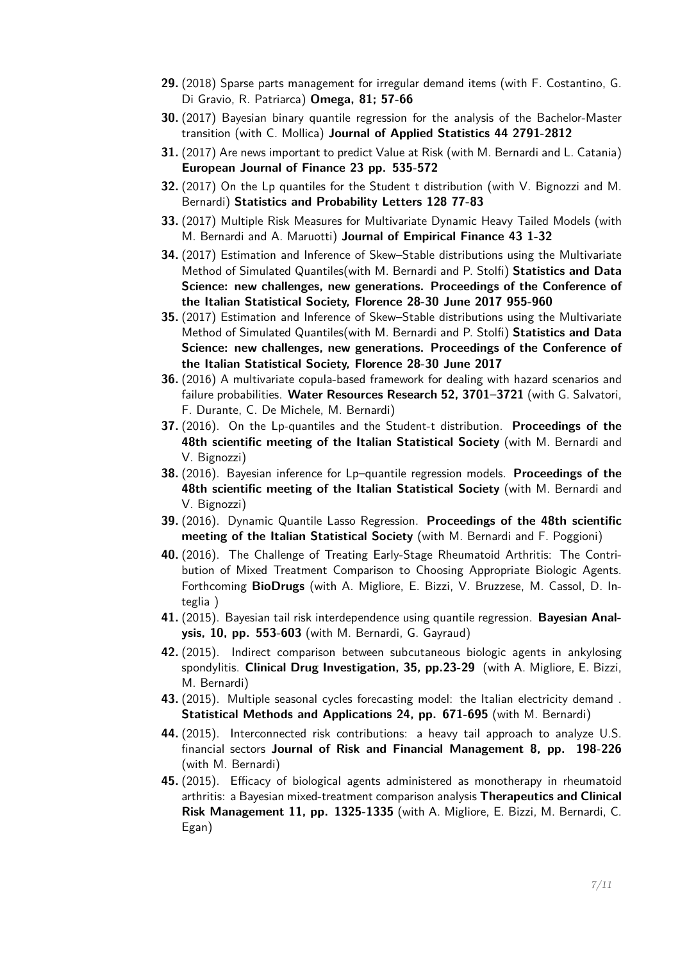- **29.** (2018) Sparse parts management for irregular demand items (with F. Costantino, G. Di Gravio, R. Patriarca) **Omega, 81; 57-66**
- **30.** (2017) Bayesian binary quantile regression for the analysis of the Bachelor-Master transition (with C. Mollica) **Journal of Applied Statistics 44 2791-2812**
- **31.** (2017) Are news important to predict Value at Risk (with M. Bernardi and L. Catania) **European Journal of Finance 23 pp. 535-572**
- **32.** (2017) On the Lp quantiles for the Student t distribution (with V. Bignozzi and M. Bernardi) **Statistics and Probability Letters 128 77-83**
- **33.** (2017) Multiple Risk Measures for Multivariate Dynamic Heavy Tailed Models (with M. Bernardi and A. Maruotti) **Journal of Empirical Finance 43 1-32**
- **34.** (2017) Estimation and Inference of Skew–Stable distributions using the Multivariate Method of Simulated Quantiles(with M. Bernardi and P. Stolfi) **Statistics and Data Science: new challenges, new generations. Proceedings of the Conference of the Italian Statistical Society, Florence 28-30 June 2017 955-960**
- **35.** (2017) Estimation and Inference of Skew–Stable distributions using the Multivariate Method of Simulated Quantiles(with M. Bernardi and P. Stolfi) **Statistics and Data Science: new challenges, new generations. Proceedings of the Conference of the Italian Statistical Society, Florence 28-30 June 2017**
- **36.** (2016) A multivariate copula-based framework for dealing with hazard scenarios and failure probabilities. **Water Resources Research 52, 3701–3721** (with G. Salvatori, F. Durante, C. De Michele, M. Bernardi)
- **37.** (2016). On the Lp-quantiles and the Student-t distribution. **Proceedings of the 48th scientific meeting of the Italian Statistical Society** (with M. Bernardi and V. Bignozzi)
- **38.** (2016). Bayesian inference for Lp–quantile regression models. **Proceedings of the 48th scientific meeting of the Italian Statistical Society** (with M. Bernardi and V. Bignozzi)
- **39.** (2016). Dynamic Quantile Lasso Regression. **Proceedings of the 48th scientific meeting of the Italian Statistical Society** (with M. Bernardi and F. Poggioni)
- **40.** (2016). The Challenge of Treating Early-Stage Rheumatoid Arthritis: The Contribution of Mixed Treatment Comparison to Choosing Appropriate Biologic Agents. Forthcoming **BioDrugs** (with A. Migliore, E. Bizzi, V. Bruzzese, M. Cassol, D. Integlia )
- **41.** (2015). Bayesian tail risk interdependence using quantile regression. **Bayesian Analysis, 10, pp. 553-603** (with M. Bernardi, G. Gayraud)
- **42.** (2015). Indirect comparison between subcutaneous biologic agents in ankylosing spondylitis. **Clinical Drug Investigation, 35, pp.23-29** (with A. Migliore, E. Bizzi, M. Bernardi)
- **43.** (2015). Multiple seasonal cycles forecasting model: the Italian electricity demand . **Statistical Methods and Applications 24, pp. 671-695** (with M. Bernardi)
- **44.** (2015). Interconnected risk contributions: a heavy tail approach to analyze U.S. financial sectors **Journal of Risk and Financial Management 8, pp. 198-226** (with M. Bernardi)
- **45.** (2015). Efficacy of biological agents administered as monotherapy in rheumatoid arthritis: a Bayesian mixed-treatment comparison analysis **Therapeutics and Clinical Risk Management 11, pp. 1325-1335** (with A. Migliore, E. Bizzi, M. Bernardi, C. Egan)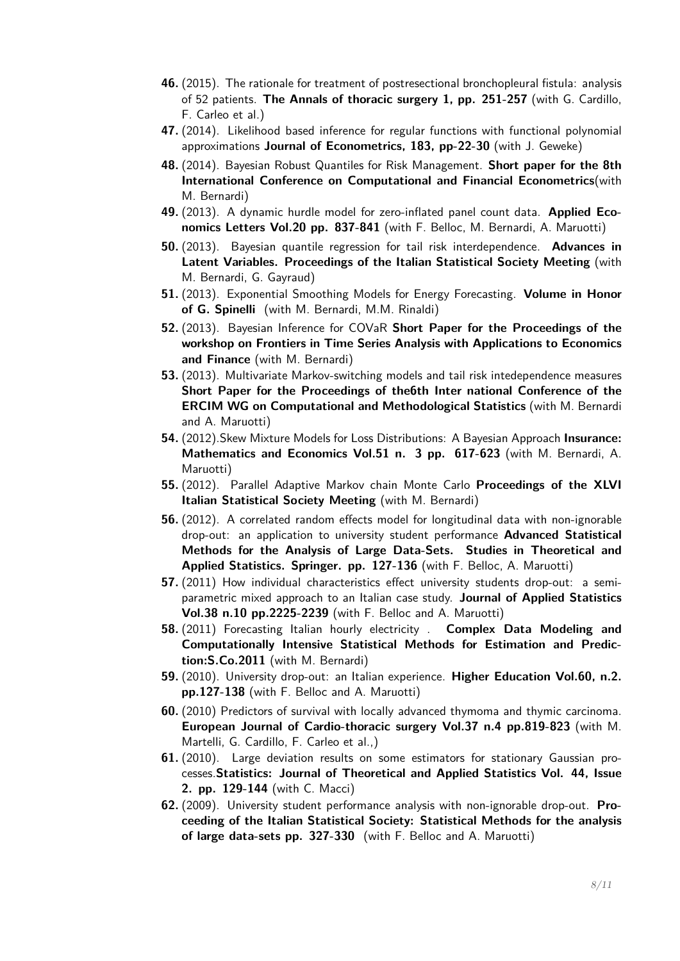- **46.** (2015). The rationale for treatment of postresectional bronchopleural fistula: analysis of 52 patients. **The Annals of thoracic surgery 1, pp. 251-257** (with G. Cardillo, F. Carleo et al.)
- **47.** (2014). Likelihood based inference for regular functions with functional polynomial approximations **Journal of Econometrics, 183, pp-22-30** (with J. Geweke)
- **48.** (2014). Bayesian Robust Quantiles for Risk Management. **Short paper for the 8th International Conference on Computational and Financial Econometrics**(with M. Bernardi)
- **49.** (2013). A dynamic hurdle model for zero-inflated panel count data. **Applied Economics Letters Vol.20 pp. 837-841** (with F. Belloc, M. Bernardi, A. Maruotti)
- **50.** (2013). Bayesian quantile regression for tail risk interdependence. **Advances in Latent Variables. Proceedings of the Italian Statistical Society Meeting** (with M. Bernardi, G. Gayraud)
- **51.** (2013). Exponential Smoothing Models for Energy Forecasting. **Volume in Honor of G. Spinelli** (with M. Bernardi, M.M. Rinaldi)
- **52.** (2013). Bayesian Inference for COVaR **Short Paper for the Proceedings of the workshop on Frontiers in Time Series Analysis with Applications to Economics and Finance** (with M. Bernardi)
- **53.** (2013). Multivariate Markov-switching models and tail risk intedependence measures **Short Paper for the Proceedings of the6th Inter national Conference of the ERCIM WG on Computational and Methodological Statistics** (with M. Bernardi and A. Maruotti)
- **54.** (2012).Skew Mixture Models for Loss Distributions: A Bayesian Approach **Insurance: Mathematics and Economics Vol.51 n. 3 pp. 617-623** (with M. Bernardi, A. Maruotti)
- **55.** (2012). Parallel Adaptive Markov chain Monte Carlo **Proceedings of the XLVI Italian Statistical Society Meeting** (with M. Bernardi)
- **56.** (2012). A correlated random effects model for longitudinal data with non-ignorable drop-out: an application to university student performance **Advanced Statistical Methods for the Analysis of Large Data-Sets. Studies in Theoretical and Applied Statistics. Springer. pp. 127-136** (with F. Belloc, A. Maruotti)
- **57.** (2011) How individual characteristics effect university students drop-out: a semiparametric mixed approach to an Italian case study. **Journal of Applied Statistics Vol.38 n.10 pp.2225-2239** (with F. Belloc and A. Maruotti)
- **58.** (2011) Forecasting Italian hourly electricity . **Complex Data Modeling and Computationally Intensive Statistical Methods for Estimation and Prediction:S.Co.2011** (with M. Bernardi)
- **59.** (2010). University drop-out: an Italian experience. **Higher Education Vol.60, n.2. pp.127-138** (with F. Belloc and A. Maruotti)
- **60.** (2010) Predictors of survival with locally advanced thymoma and thymic carcinoma. **European Journal of Cardio-thoracic surgery Vol.37 n.4 pp.819-823** (with M. Martelli, G. Cardillo, F. Carleo et al.,)
- **61.** (2010). Large deviation results on some estimators for stationary Gaussian processes.**Statistics: Journal of Theoretical and Applied Statistics Vol. 44, Issue 2. pp. 129-144** (with C. Macci)
- **62.** (2009). University student performance analysis with non-ignorable drop-out. **Proceeding of the Italian Statistical Society: Statistical Methods for the analysis of large data-sets pp. 327-330** (with F. Belloc and A. Maruotti)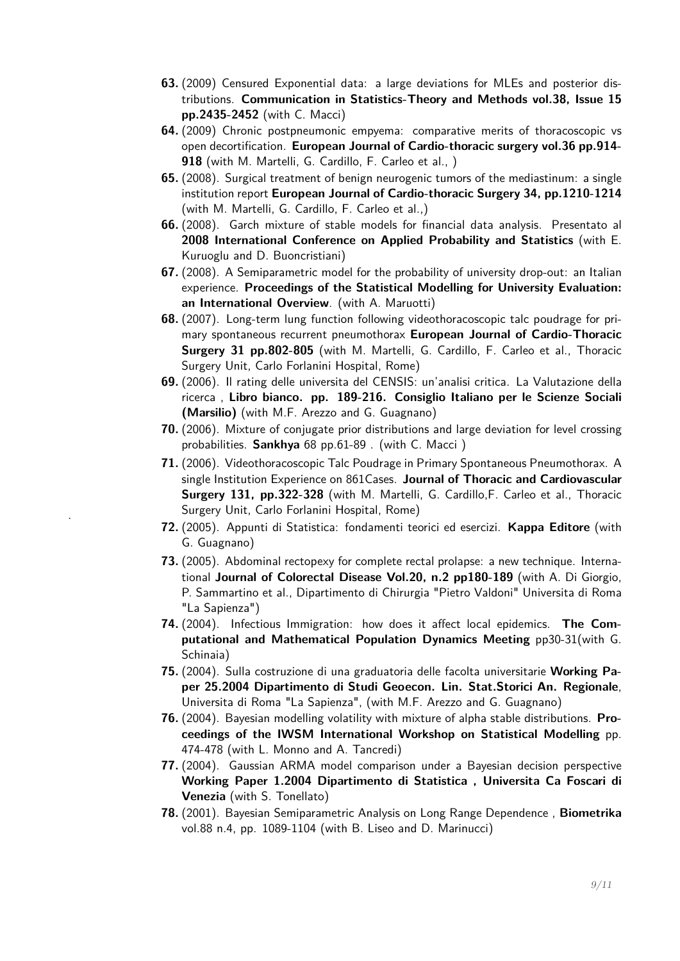- **63.** (2009) Censured Exponential data: a large deviations for MLEs and posterior distributions. **Communication in Statistics-Theory and Methods vol.38, Issue 15 pp.2435-2452** (with C. Macci)
- **64.** (2009) Chronic postpneumonic empyema: comparative merits of thoracoscopic vs open decortification. **European Journal of Cardio-thoracic surgery vol.36 pp.914- 918** (with M. Martelli, G. Cardillo, F. Carleo et al., )
- **65.** (2008). Surgical treatment of benign neurogenic tumors of the mediastinum: a single institution report **European Journal of Cardio-thoracic Surgery 34, pp.1210-1214** (with M. Martelli, G. Cardillo, F. Carleo et al.,)
- **66.** (2008). Garch mixture of stable models for financial data analysis. Presentato al **2008 International Conference on Applied Probability and Statistics** (with E. Kuruoglu and D. Buoncristiani)
- **67.** (2008). A Semiparametric model for the probability of university drop-out: an Italian experience. **Proceedings of the Statistical Modelling for University Evaluation: an International Overview**. (with A. Maruotti)
- **68.** (2007). Long-term lung function following videothoracoscopic talc poudrage for primary spontaneous recurrent pneumothorax **European Journal of Cardio-Thoracic Surgery 31 pp.802-805** (with M. Martelli, G. Cardillo, F. Carleo et al., Thoracic Surgery Unit, Carlo Forlanini Hospital, Rome)
- **69.** (2006). Il rating delle universita del CENSIS: un'analisi critica. La Valutazione della ricerca , **Libro bianco. pp. 189-216. Consiglio Italiano per le Scienze Sociali (Marsilio)** (with M.F. Arezzo and G. Guagnano)
- **70.** (2006). Mixture of conjugate prior distributions and large deviation for level crossing probabilities. **Sankhya** 68 pp.61-89 . (with C. Macci )
- **71.** (2006). Videothoracoscopic Talc Poudrage in Primary Spontaneous Pneumothorax. A single Institution Experience on 861Cases. **Journal of Thoracic and Cardiovascular Surgery 131, pp.322-328** (with M. Martelli, G. Cardillo,F. Carleo et al., Thoracic Surgery Unit, Carlo Forlanini Hospital, Rome)
- **72.** (2005). Appunti di Statistica: fondamenti teorici ed esercizi. **Kappa Editore** (with G. Guagnano)

.

- **73.** (2005). Abdominal rectopexy for complete rectal prolapse: a new technique. International **Journal of Colorectal Disease Vol.20, n.2 pp180-189** (with A. Di Giorgio, P. Sammartino et al., Dipartimento di Chirurgia "Pietro Valdoni" Universita di Roma "La Sapienza")
- **74.** (2004). Infectious Immigration: how does it affect local epidemics. **The Computational and Mathematical Population Dynamics Meeting** pp30-31(with G. Schinaia)
- **75.** (2004). Sulla costruzione di una graduatoria delle facolta universitarie **Working Paper 25.2004 Dipartimento di Studi Geoecon. Lin. Stat.Storici An. Regionale**, Universita di Roma "La Sapienza", (with M.F. Arezzo and G. Guagnano)
- **76.** (2004). Bayesian modelling volatility with mixture of alpha stable distributions. **Proceedings of the IWSM International Workshop on Statistical Modelling** pp. 474-478 (with L. Monno and A. Tancredi)
- **77.** (2004). Gaussian ARMA model comparison under a Bayesian decision perspective **Working Paper 1.2004 Dipartimento di Statistica , Universita Ca Foscari di Venezia** (with S. Tonellato)
- **78.** (2001). Bayesian Semiparametric Analysis on Long Range Dependence , **Biometrika** vol.88 n.4, pp. 1089-1104 (with B. Liseo and D. Marinucci)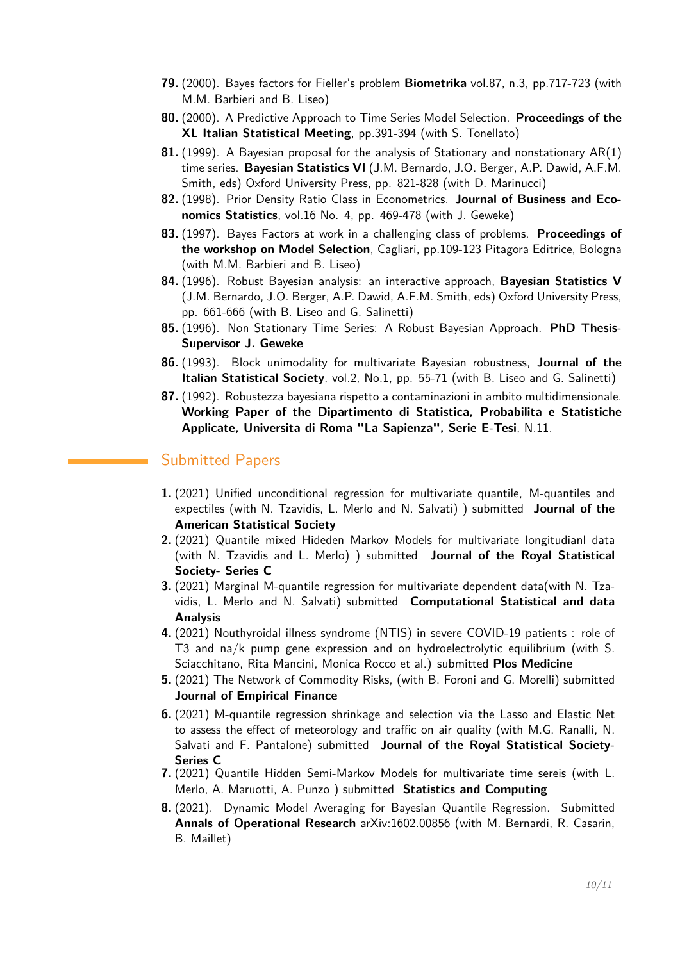- **79.** (2000). Bayes factors for Fieller's problem **Biometrika** vol.87, n.3, pp.717-723 (with M.M. Barbieri and B. Liseo)
- **80.** (2000). A Predictive Approach to Time Series Model Selection. **Proceedings of the XL Italian Statistical Meeting**, pp.391-394 (with S. Tonellato)
- **81.** (1999). A Bayesian proposal for the analysis of Stationary and nonstationary AR(1) time series. **Bayesian Statistics VI** (J.M. Bernardo, J.O. Berger, A.P. Dawid, A.F.M. Smith, eds) Oxford University Press, pp. 821-828 (with D. Marinucci)
- **82.** (1998). Prior Density Ratio Class in Econometrics. **Journal of Business and Economics Statistics**, vol.16 No. 4, pp. 469-478 (with J. Geweke)
- **83.** (1997). Bayes Factors at work in a challenging class of problems. **Proceedings of the workshop on Model Selection**, Cagliari, pp.109-123 Pitagora Editrice, Bologna (with M.M. Barbieri and B. Liseo)
- **84.** (1996). Robust Bayesian analysis: an interactive approach, **Bayesian Statistics V** (J.M. Bernardo, J.O. Berger, A.P. Dawid, A.F.M. Smith, eds) Oxford University Press, pp. 661-666 (with B. Liseo and G. Salinetti)
- **85.** (1996). Non Stationary Time Series: A Robust Bayesian Approach. **PhD Thesis-Supervisor J. Geweke**
- **86.** (1993). Block unimodality for multivariate Bayesian robustness, **Journal of the Italian Statistical Society**, vol.2, No.1, pp. 55-71 (with B. Liseo and G. Salinetti)
- **87.** (1992). Robustezza bayesiana rispetto a contaminazioni in ambito multidimensionale. **Working Paper of the Dipartimento di Statistica, Probabilita e Statistiche Applicate, Universita di Roma "La Sapienza", Serie E-Tesi**, N.11.

#### <span id="page-9-0"></span>Submitted Papers

- **1.** (2021) Unified unconditional regression for multivariate quantile, M-quantiles and expectiles (with N. Tzavidis, L. Merlo and N. Salvati) ) submitted **Journal of the American Statistical Society**
- **2.** (2021) Quantile mixed Hideden Markov Models for multivariate longitudianl data (with N. Tzavidis and L. Merlo) ) submitted **Journal of the Royal Statistical Society- Series C**
- **3.** (2021) Marginal M-quantile regression for multivariate dependent data(with N. Tzavidis, L. Merlo and N. Salvati) submitted **Computational Statistical and data Analysis**
- **4.** (2021) Nouthyroidal illness syndrome (NTIS) in severe COVID-19 patients : role of T3 and na/k pump gene expression and on hydroelectrolytic equilibrium (with S. Sciacchitano, Rita Mancini, Monica Rocco et al.) submitted **Plos Medicine**
- **5.** (2021) The Network of Commodity Risks, (with B. Foroni and G. Morelli) submitted **Journal of Empirical Finance**
- **6.** (2021) M-quantile regression shrinkage and selection via the Lasso and Elastic Net to assess the effect of meteorology and traffic on air quality (with M.G. Ranalli, N. Salvati and F. Pantalone) submitted **Journal of the Royal Statistical Society-Series C**
- **7.** (2021) Quantile Hidden Semi-Markov Models for multivariate time sereis (with L. Merlo, A. Maruotti, A. Punzo ) submitted **Statistics and Computing**
- **8.** (2021). Dynamic Model Averaging for Bayesian Quantile Regression. Submitted **Annals of Operational Research** arXiv:1602.00856 (with M. Bernardi, R. Casarin, B. Maillet)